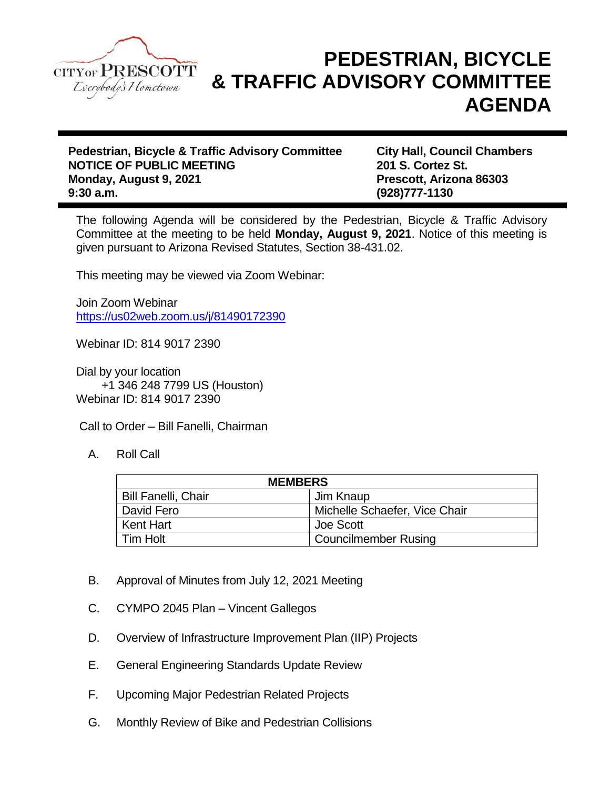

## **PEDESTRIAN, BICYCLE & TRAFFIC ADVISORY COMMITTEE AGENDA**

**Pedestrian, Bicycle & Traffic Advisory Committee City Hall, Council Chambers NOTICE OF PUBLIC MEETING 201 S. Cortez St. Monday, August 9, 2021 Prescott, Arizona 86303 9:30 a.m. (928)777-1130**

The following Agenda will be considered by the Pedestrian, Bicycle & Traffic Advisory Committee at the meeting to be held **Monday, August 9, 2021**. Notice of this meeting is given pursuant to Arizona Revised Statutes, Section 38-431.02.

This meeting may be viewed via Zoom Webinar:

Join Zoom Webinar <https://us02web.zoom.us/j/81490172390>

Webinar ID: 814 9017 2390

Dial by your location +1 346 248 7799 US (Houston) Webinar ID: 814 9017 2390

Call to Order – Bill Fanelli, Chairman

A. Roll Call

| <b>MEMBERS</b>             |                               |
|----------------------------|-------------------------------|
| <b>Bill Fanelli, Chair</b> | Jim Knaup                     |
| David Fero                 | Michelle Schaefer, Vice Chair |
| <b>Kent Hart</b>           | Joe Scott                     |
| <b>Tim Holt</b>            | <b>Councilmember Rusing</b>   |

- B. Approval of Minutes from July 12, 2021 Meeting
- C. CYMPO 2045 Plan Vincent Gallegos
- D. Overview of Infrastructure Improvement Plan (IIP) Projects
- E. General Engineering Standards Update Review
- F. Upcoming Major Pedestrian Related Projects
- G. Monthly Review of Bike and Pedestrian Collisions